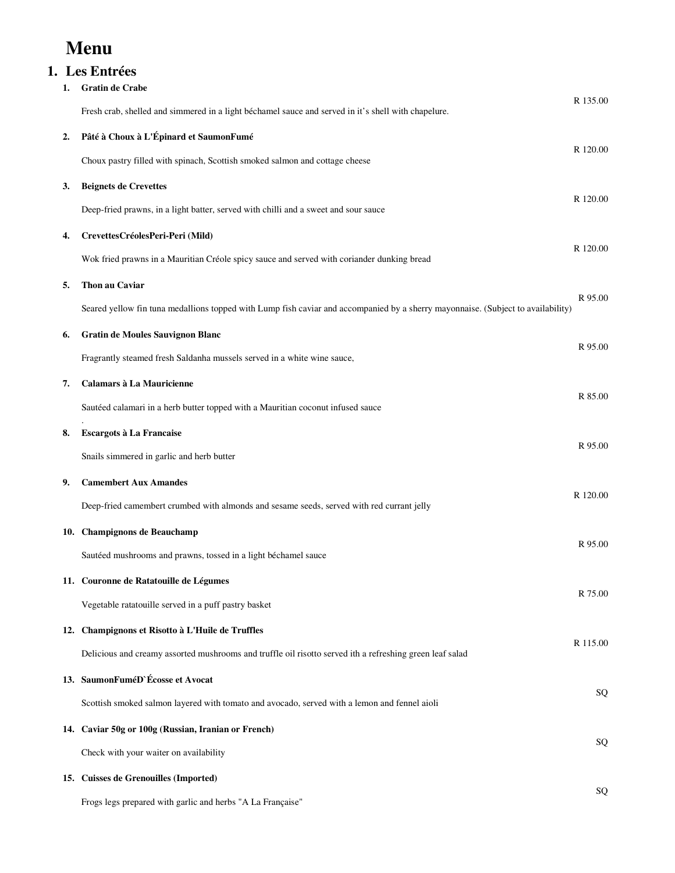# **Menu**

## **1. Les Entrées**

| 1.  | <b>Gratin de Crabe</b>                                                                                                           |          |  |
|-----|----------------------------------------------------------------------------------------------------------------------------------|----------|--|
|     | Fresh crab, shelled and simmered in a light béchamel sauce and served in it's shell with chapelure.                              | R 135.00 |  |
| 2.  | Pâté à Choux à L'Épinard et SaumonFumé                                                                                           |          |  |
|     | Choux pastry filled with spinach, Scottish smoked salmon and cottage cheese                                                      | R 120.00 |  |
| 3.  | <b>Beignets de Crevettes</b>                                                                                                     | R 120.00 |  |
|     | Deep-fried prawns, in a light batter, served with chilli and a sweet and sour sauce                                              |          |  |
| 4.  | CrevettesCréolesPeri-Peri (Mild)                                                                                                 |          |  |
|     | Wok fried prawns in a Mauritian Créole spicy sauce and served with coriander dunking bread                                       | R 120.00 |  |
| 5.  | Thon au Caviar                                                                                                                   |          |  |
|     | Seared yellow fin tuna medallions topped with Lump fish caviar and accompanied by a sherry mayonnaise. (Subject to availability) | R 95.00  |  |
| 6.  | <b>Gratin de Moules Sauvignon Blanc</b>                                                                                          |          |  |
|     | Fragrantly steamed fresh Saldanha mussels served in a white wine sauce,                                                          | R 95.00  |  |
| 7.  | Calamars à La Mauricienne                                                                                                        |          |  |
|     | Sautéed calamari in a herb butter topped with a Mauritian coconut infused sauce                                                  | R 85.00  |  |
| 8.  | Escargots à La Francaise                                                                                                         |          |  |
|     | Snails simmered in garlic and herb butter                                                                                        | R 95.00  |  |
| 9.  | <b>Camembert Aux Amandes</b>                                                                                                     |          |  |
|     | Deep-fried camembert crumbed with almonds and sesame seeds, served with red currant jelly                                        | R 120.00 |  |
|     | 10. Champignons de Beauchamp                                                                                                     |          |  |
|     | Sautéed mushrooms and prawns, tossed in a light béchamel sauce                                                                   | R 95.00  |  |
|     | 11. Couronne de Ratatouille de Légumes                                                                                           |          |  |
|     | Vegetable ratatouille served in a puff pastry basket                                                                             | R 75.00  |  |
|     | 12. Champignons et Risotto à L'Huile de Truffles                                                                                 |          |  |
|     | Delicious and creamy assorted mushrooms and truffle oil risotto served ith a refreshing green leaf salad                         | R 115.00 |  |
|     | 13. SaumonFuméD`Écosse et Avocat                                                                                                 |          |  |
|     | Scottish smoked salmon layered with tomato and avocado, served with a lemon and fennel aioli                                     | SQ       |  |
|     | 14. Caviar 50g or 100g (Russian, Iranian or French)                                                                              |          |  |
|     | Check with your waiter on availability                                                                                           | SQ       |  |
| 15. | <b>Cuisses de Grenouilles (Imported)</b>                                                                                         |          |  |
|     | Frogs legs prepared with garlic and herbs "A La Française"                                                                       | SQ       |  |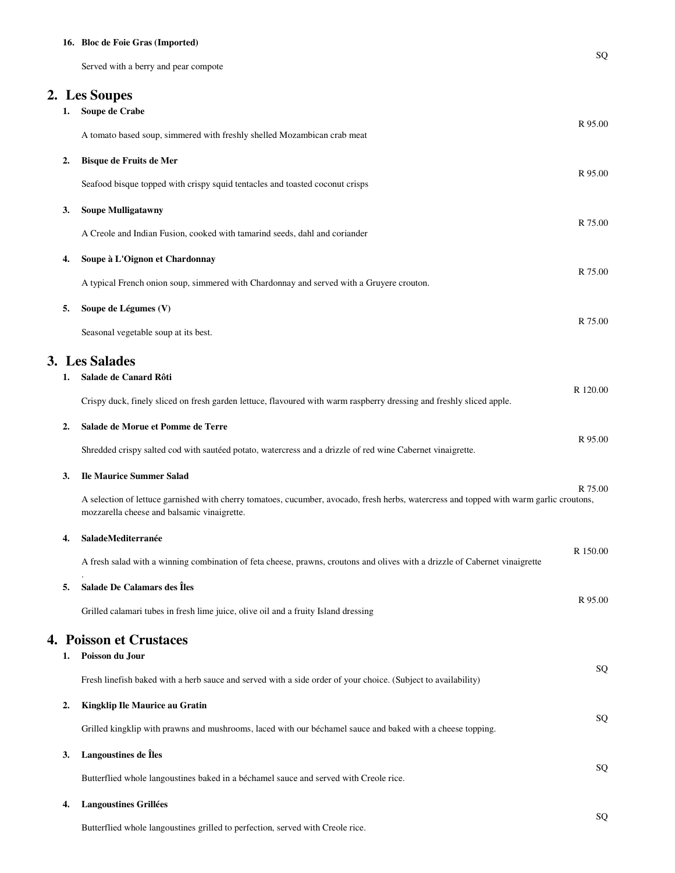### **16. Bloc de Foie Gras (Imported)**

Served with a berry and pear compote

### **2. Les Soupes**

| 1. | Soupe de Crabe                                                                                                                                                                         | R 95.00  |
|----|----------------------------------------------------------------------------------------------------------------------------------------------------------------------------------------|----------|
|    | A tomato based soup, simmered with freshly shelled Mozambican crab meat                                                                                                                |          |
| 2. | Bisque de Fruits de Mer                                                                                                                                                                | R 95.00  |
|    | Seafood bisque topped with crispy squid tentacles and toasted coconut crisps                                                                                                           |          |
| 3. | <b>Soupe Mulligatawny</b>                                                                                                                                                              | R 75.00  |
|    | A Creole and Indian Fusion, cooked with tamarind seeds, dahl and coriander                                                                                                             |          |
| 4. | Soupe à L'Oignon et Chardonnay                                                                                                                                                         |          |
|    | A typical French onion soup, simmered with Chardonnay and served with a Gruyere crouton.                                                                                               | R 75.00  |
| 5. | Soupe de Légumes (V)                                                                                                                                                                   |          |
|    | Seasonal vegetable soup at its best.                                                                                                                                                   | R 75.00  |
|    | 3. Les Salades                                                                                                                                                                         |          |
| 1. | Salade de Canard Rôti                                                                                                                                                                  | R 120.00 |
|    | Crispy duck, finely sliced on fresh garden lettuce, flavoured with warm raspberry dressing and freshly sliced apple.                                                                   |          |
| 2. | Salade de Morue et Pomme de Terre                                                                                                                                                      | R 95.00  |
|    | Shredded crispy salted cod with sautéed potato, watercress and a drizzle of red wine Cabernet vinaigrette.                                                                             |          |
| 3. | <b>Ile Maurice Summer Salad</b>                                                                                                                                                        |          |
|    | A selection of lettuce garnished with cherry tomatoes, cucumber, avocado, fresh herbs, watercress and topped with warm garlic croutons,<br>mozzarella cheese and balsamic vinaigrette. | R 75.00  |
| 4. | SaladeMediterranée                                                                                                                                                                     |          |
|    | A fresh salad with a winning combination of feta cheese, prawns, croutons and olives with a drizzle of Cabernet vinaigrette                                                            | R 150.00 |
| 5. | Salade De Calamars des Îles                                                                                                                                                            |          |
|    | Grilled calamari tubes in fresh lime juice, olive oil and a fruity Island dressing                                                                                                     | R 95.00  |
|    | <b>4. Poisson et Crustaces</b>                                                                                                                                                         |          |
| 1. | Poisson du Jour                                                                                                                                                                        |          |
|    | Fresh linefish baked with a herb sauce and served with a side order of your choice. (Subject to availability)                                                                          | SQ       |
| 2. | Kingklip Ile Maurice au Gratin                                                                                                                                                         |          |
|    | Grilled kingklip with prawns and mushrooms, laced with our béchamel sauce and baked with a cheese topping.                                                                             | SQ       |
| 3. | Langoustines de Îles                                                                                                                                                                   |          |
|    | Butterflied whole langoustines baked in a béchamel sauce and served with Creole rice.                                                                                                  | SQ       |
| 4. | <b>Langoustines Grillées</b>                                                                                                                                                           |          |

Butterflied whole langoustines grilled to perfection, served with Creole rice.

SQ

SQ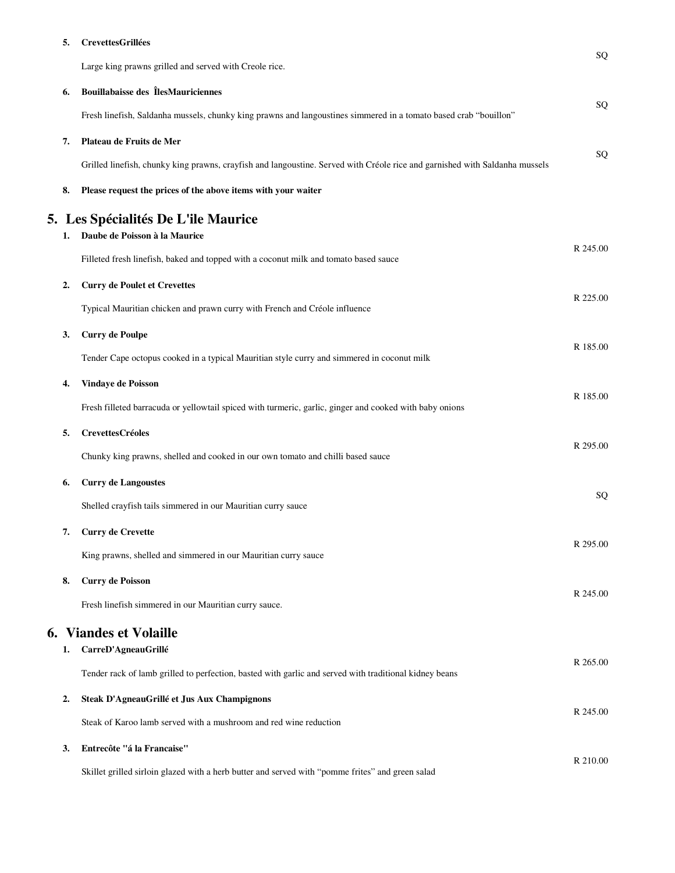### **5. CrevettesGrillées**

|    |                                                                                                                             | SQ         |
|----|-----------------------------------------------------------------------------------------------------------------------------|------------|
|    | Large king prawns grilled and served with Creole rice.                                                                      |            |
| 6. | <b>Bouillabaisse des ÎlesMauriciennes</b>                                                                                   |            |
|    | Fresh linefish, Saldanha mussels, chunky king prawns and langoustines simmered in a tomato based crab "bouillon"            | SQ         |
| 7. | Plateau de Fruits de Mer                                                                                                    |            |
|    | Grilled linefish, chunky king prawns, crayfish and langoustine. Served with Créole rice and garnished with Saldanha mussels | SQ         |
| 8. | Please request the prices of the above items with your waiter                                                               |            |
|    | 5. Les Spécialités De L'ile Maurice                                                                                         |            |
| 1. | Daube de Poisson à la Maurice                                                                                               |            |
|    | Filleted fresh linefish, baked and topped with a coconut milk and tomato based sauce                                        | R 245.00   |
| 2. | <b>Curry de Poulet et Crevettes</b>                                                                                         |            |
|    | Typical Mauritian chicken and prawn curry with French and Créole influence                                                  | R 225.00   |
| 3. | <b>Curry de Poulpe</b>                                                                                                      |            |
|    | Tender Cape octopus cooked in a typical Mauritian style curry and simmered in coconut milk                                  | R 185.00   |
| 4. | Vindaye de Poisson                                                                                                          |            |
|    | Fresh filleted barracuda or yellowtail spiced with turmeric, garlic, ginger and cooked with baby onions                     | R 185.00   |
| 5. | <b>CrevettesCréoles</b>                                                                                                     |            |
|    | Chunky king prawns, shelled and cooked in our own tomato and chilli based sauce                                             | R 295.00   |
| 6. | <b>Curry de Langoustes</b>                                                                                                  |            |
|    | Shelled crayfish tails simmered in our Mauritian curry sauce                                                                | ${\bf SQ}$ |
| 7. | <b>Curry de Crevette</b>                                                                                                    |            |
|    | King prawns, shelled and simmered in our Mauritian curry sauce                                                              | R 295.00   |
| 8. | <b>Curry de Poisson</b>                                                                                                     |            |
|    | Fresh linefish simmered in our Mauritian curry sauce.                                                                       | R 245.00   |
|    | <b>6. Viandes et Volaille</b>                                                                                               |            |
| 1. | CarreD'AgneauGrillé                                                                                                         |            |
|    | Tender rack of lamb grilled to perfection, basted with garlic and served with traditional kidney beans                      | R 265.00   |
| 2. | Steak D'AgneauGrillé et Jus Aux Champignons                                                                                 |            |
|    | Steak of Karoo lamb served with a mushroom and red wine reduction                                                           | R 245.00   |
| 3. | Entrecôte "á la Francaise"                                                                                                  |            |

R 210.00 Skillet grilled sirloin glazed with a herb butter and served with "pomme frites" and green salad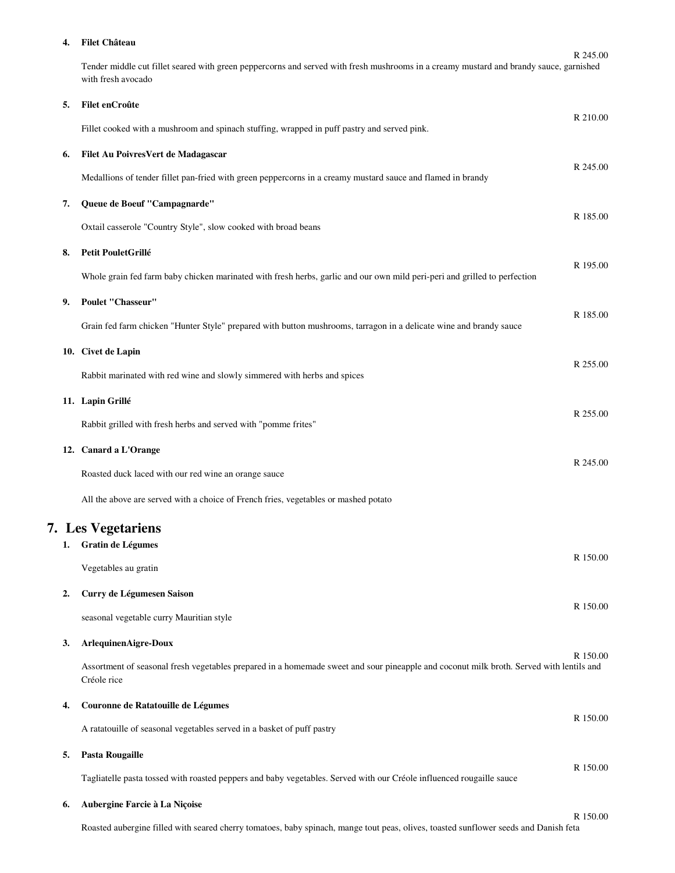#### **4. Filet Château**

R 245.00 Tender middle cut fillet seared with green peppercorns and served with fresh mushrooms in a creamy mustard and brandy sauce, garnished with fresh avocado

| 5. | Filet enCroûte                                                                                                                                         | R 210.00 |
|----|--------------------------------------------------------------------------------------------------------------------------------------------------------|----------|
|    | Fillet cooked with a mushroom and spinach stuffing, wrapped in puff pastry and served pink.                                                            |          |
| 6. | Filet Au PoivresVert de Madagascar                                                                                                                     |          |
|    | Medallions of tender fillet pan-fried with green peppercorns in a creamy mustard sauce and flamed in brandy                                            | R 245.00 |
| 7. | Queue de Boeuf "Campagnarde"                                                                                                                           | R 185.00 |
|    | Oxtail casserole "Country Style", slow cooked with broad beans                                                                                         |          |
| 8. | Petit PouletGrillé                                                                                                                                     | R 195.00 |
|    | Whole grain fed farm baby chicken marinated with fresh herbs, garlic and our own mild peri-peri and grilled to perfection                              |          |
| 9. | Poulet "Chasseur"                                                                                                                                      | R 185.00 |
|    | Grain fed farm chicken "Hunter Style" prepared with button mushrooms, tarragon in a delicate wine and brandy sauce                                     |          |
|    | 10. Civet de Lapin                                                                                                                                     |          |
|    | Rabbit marinated with red wine and slowly simmered with herbs and spices                                                                               | R 255.00 |
|    | 11. Lapin Grillé                                                                                                                                       |          |
|    | Rabbit grilled with fresh herbs and served with "pomme frites"                                                                                         | R 255.00 |
|    | 12. Canard a L'Orange                                                                                                                                  |          |
|    | Roasted duck laced with our red wine an orange sauce                                                                                                   | R 245.00 |
|    | All the above are served with a choice of French fries, vegetables or mashed potato                                                                    |          |
|    | <b>7.</b> Les Vegetariens                                                                                                                              |          |
| 1. | Gratin de Légumes                                                                                                                                      | R 150.00 |
|    | Vegetables au gratin                                                                                                                                   |          |
| 2. | Curry de Légumesen Saison                                                                                                                              | R 150.00 |
|    | seasonal vegetable curry Mauritian style                                                                                                               |          |
| 3. | ArlequinenAigre-Doux                                                                                                                                   | R 150.00 |
|    | Assortment of seasonal fresh vegetables prepared in a homemade sweet and sour pineapple and coconut milk broth. Served with lentils and<br>Créole rice |          |
| 4. | Couronne de Ratatouille de Légumes                                                                                                                     |          |
|    | A ratatouille of seasonal vegetables served in a basket of puff pastry                                                                                 | R 150.00 |
| 5. | <b>Pasta Rougaille</b>                                                                                                                                 | R 150.00 |
|    | Tagliatelle pasta tossed with roasted peppers and baby vegetables. Served with our Créole influenced rougaille sauce                                   |          |
| 6. | Aubergine Farcie à La Niçoise                                                                                                                          | R 150.00 |
|    |                                                                                                                                                        |          |

Roasted aubergine filled with seared cherry tomatoes, baby spinach, mange tout peas, olives, toasted sunflower seeds and Danish feta